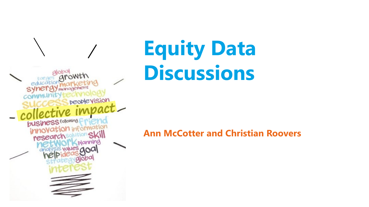peoplevision busine

## **Equity Data Discussions**

## **Ann McCotter and Christian Roovers**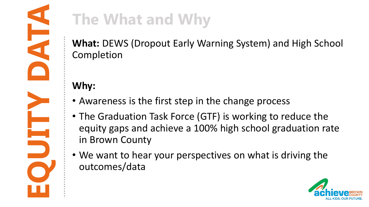**What:** DEWS (Dropout Early Warning System) and High School Completion

## **Why:**

- Awareness is the first step in the change process
- The Graduation Task Force (GTF) is working to reduce the equity gaps and achieve a 100% high school graduation rate in Brown County
- We want to hear your perspectives on what is driving the outcomes/data

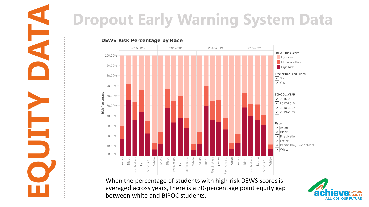

When the percentage of students with high-risk DEWS scores is averaged across years, there is a 30-percentage point equity gap between white and BIPOC students.

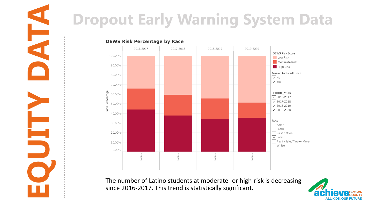

The number of Latino students at moderate- or high-risk is decreasing since 2016-2017. This trend is statistically significant.

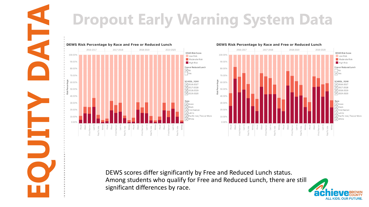





DEWS scores differ significantly by Free and Reduced Lunch status. Among students who qualify for Free and Reduced Lunch, there are still significant differences by race.

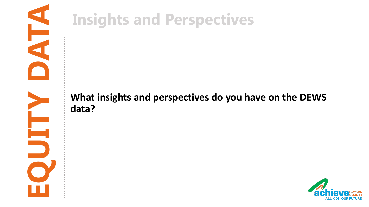

## **What insights and perspectives do you have on the DEWS data?**

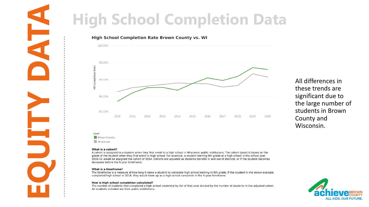

All differences in these trends are significant due to the large number of students in Brown County and Wisconsin.

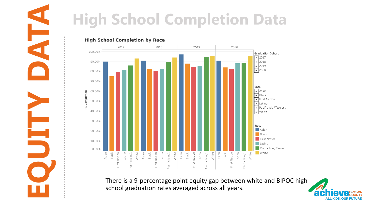

# **Excessed Completion Data**<br> **EQUITY DEPARTMENT OF A RECORD COMPLETED DATA**<br> **EQUITY OF A RECORD COMPLETED DATA**<br> **EQUITY OF A RECORD COMPLETED DATA**<br> **EXCESSED A RECORD COMPLETED DATA**<br>
There is a 9-percentage point equity

There is a 9-percentage point equity gap between white and BIPOC high school graduation rates averaged across all years.

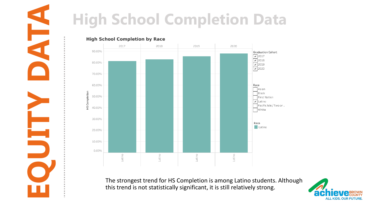

# **Exchanged Completion Data**<br> **EQUITY DATA**<br> **EQUITY DATA**<br> **EQUITY DATA**<br> **EQUITY DATA**<br>
<br> **EQUITY DATA**<br>
<br> **EQUITY DATA**<br>
<br>
The strongest trend for HS Completion is among Latino students. Alt<br>
this trend is not statistica

The strongest trend for HS Completion is among Latino students. Although this trend is not statistically significant, it is still relatively strong.

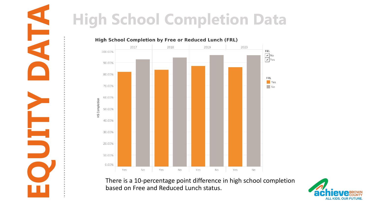

There is a 10-percentage point difference in high school completion based on Free and Reduced Lunch status.